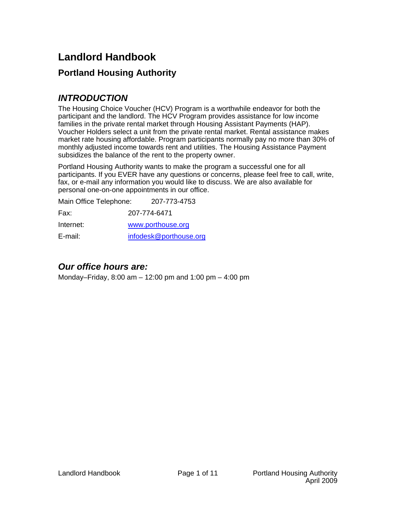# **Landlord Handbook**

# **Portland Housing Authority**

# *INTRODUCTION*

The Housing Choice Voucher (HCV) Program is a worthwhile endeavor for both the participant and the landlord. The HCV Program provides assistance for low income families in the private rental market through Housing Assistant Payments (HAP). Voucher Holders select a unit from the private rental market. Rental assistance makes market rate housing affordable. Program participants normally pay no more than 30% of monthly adjusted income towards rent and utilities. The Housing Assistance Payment subsidizes the balance of the rent to the property owner.

Portland Housing Authority wants to make the program a successful one for all participants. If you EVER have any questions or concerns, please feel free to call, write, fax, or e-mail any information you would like to discuss. We are also available for personal one-on-one appointments in our office.

Main Office Telephone: 207-773-4753

| Fax:      | 207-774-6471           |
|-----------|------------------------|
| Internet: | www.porthouse.org      |
| E-mail:   | infodesk@porthouse.org |

## *Our office hours are:*

Monday–Friday, 8:00 am – 12:00 pm and 1:00 pm – 4:00 pm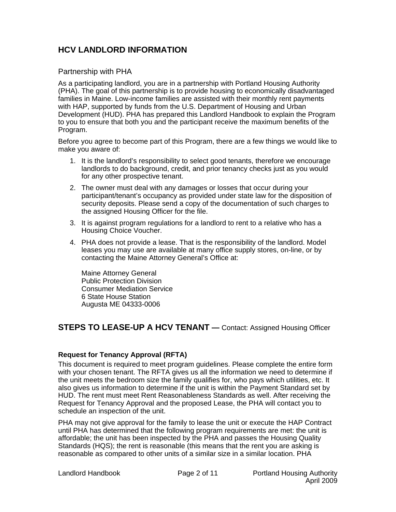### **HCV LANDLORD INFORMATION**

#### Partnership with PHA

As a participating landlord, you are in a partnership with Portland Housing Authority (PHA). The goal of this partnership is to provide housing to economically disadvantaged families in Maine. Low-income families are assisted with their monthly rent payments with HAP, supported by funds from the U.S. Department of Housing and Urban Development (HUD). PHA has prepared this Landlord Handbook to explain the Program to you to ensure that both you and the participant receive the maximum benefits of the Program.

Before you agree to become part of this Program, there are a few things we would like to make you aware of:

- 1. It is the landlord's responsibility to select good tenants, therefore we encourage landlords to do background, credit, and prior tenancy checks just as you would for any other prospective tenant.
- 2. The owner must deal with any damages or losses that occur during your participant/tenant's occupancy as provided under state law for the disposition of security deposits. Please send a copy of the documentation of such charges to the assigned Housing Officer for the file.
- 3. It is against program regulations for a landlord to rent to a relative who has a Housing Choice Voucher.
- 4. PHA does not provide a lease. That is the responsibility of the landlord. Model leases you may use are available at many office supply stores, on-line, or by contacting the Maine Attorney General's Office at:

Maine Attorney General Public Protection Division Consumer Mediation Service 6 State House Station Augusta ME 04333-0006

### **STEPS TO LEASE-UP A HCV TENANT —** Contact: Assigned Housing Officer

#### **Request for Tenancy Approval (RFTA)**

This document is required to meet program guidelines. Please complete the entire form with your chosen tenant. The RFTA gives us all the information we need to determine if the unit meets the bedroom size the family qualifies for, who pays which utilities, etc. It also gives us information to determine if the unit is within the Payment Standard set by HUD. The rent must meet Rent Reasonableness Standards as well. After receiving the Request for Tenancy Approval and the proposed Lease, the PHA will contact you to schedule an inspection of the unit.

PHA may not give approval for the family to lease the unit or execute the HAP Contract until PHA has determined that the following program requirements are met: the unit is affordable; the unit has been inspected by the PHA and passes the Housing Quality Standards (HQS); the rent is reasonable (this means that the rent you are asking is reasonable as compared to other units of a similar size in a similar location. PHA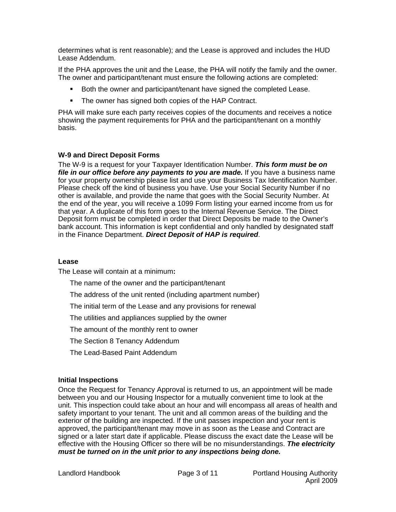determines what is rent reasonable); and the Lease is approved and includes the HUD Lease Addendum.

If the PHA approves the unit and the Lease, the PHA will notify the family and the owner. The owner and participant/tenant must ensure the following actions are completed:

- Both the owner and participant/tenant have signed the completed Lease.
- The owner has signed both copies of the HAP Contract.

PHA will make sure each party receives copies of the documents and receives a notice showing the payment requirements for PHA and the participant/tenant on a monthly basis.

#### **W-9 and Direct Deposit Forms**

The W-9 is a request for your Taxpayer Identification Number. *This form must be on file in our office before any payments to you are made.* If you have a business name for your property ownership please list and use your Business Tax Identification Number. Please check off the kind of business you have. Use your Social Security Number if no other is available, and provide the name that goes with the Social Security Number. At the end of the year, you will receive a 1099 Form listing your earned income from us for that year. A duplicate of this form goes to the Internal Revenue Service. The Direct Deposit form must be completed in order that Direct Deposits be made to the Owner's bank account. This information is kept confidential and only handled by designated staff in the Finance Department. *Direct Deposit of HAP is required*.

#### **Lease**

The Lease will contain at a minimum**:**

The name of the owner and the participant/tenant

The address of the unit rented (including apartment number)

The initial term of the Lease and any provisions for renewal

The utilities and appliances supplied by the owner

The amount of the monthly rent to owner

The Section 8 Tenancy Addendum

The Lead-Based Paint Addendum

#### **Initial Inspections**

Once the Request for Tenancy Approval is returned to us, an appointment will be made between you and our Housing Inspector for a mutually convenient time to look at the unit. This inspection could take about an hour and will encompass all areas of health and safety important to your tenant. The unit and all common areas of the building and the exterior of the building are inspected. If the unit passes inspection and your rent is approved, the participant/tenant may move in as soon as the Lease and Contract are signed or a later start date if applicable. Please discuss the exact date the Lease will be effective with the Housing Officer so there will be no misunderstandings. *The electricity must be turned on in the unit prior to any inspections being done.*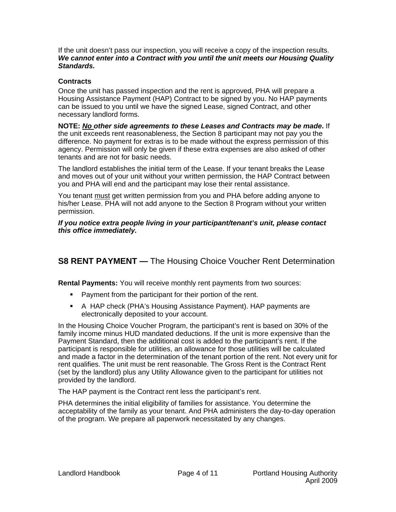If the unit doesn't pass our inspection, you will receive a copy of the inspection results. *We cannot enter into a Contract with you until the unit meets our Housing Quality Standards.*

#### **Contracts**

Once the unit has passed inspection and the rent is approved, PHA will prepare a Housing Assistance Payment (HAP) Contract to be signed by you. No HAP payments can be issued to you until we have the signed Lease, signed Contract, and other necessary landlord forms.

**NOTE:** *No other side agreements to these Leases and Contracts may be made***.** If the unit exceeds rent reasonableness, the Section 8 participant may not pay you the difference. No payment for extras is to be made without the express permission of this agency. Permission will only be given if these extra expenses are also asked of other tenants and are not for basic needs.

The landlord establishes the initial term of the Lease. If your tenant breaks the Lease and moves out of your unit without your written permission, the HAP Contract between you and PHA will end and the participant may lose their rental assistance.

You tenant must get written permission from you and PHA before adding anyone to his/her Lease. PHA will not add anyone to the Section 8 Program without your written permission.

*If you notice extra people living in your participant/tenant's unit, please contact this office immediately.* 

### **S8 RENT PAYMENT —** The Housing Choice Voucher Rent Determination

**Rental Payments:** You will receive monthly rent payments from two sources:

- **Payment from the participant for their portion of the rent.**
- A HAP check (PHA's Housing Assistance Payment). HAP payments are electronically deposited to your account.

In the Housing Choice Voucher Program, the participant's rent is based on 30% of the family income minus HUD mandated deductions. If the unit is more expensive than the Payment Standard, then the additional cost is added to the participant's rent. If the participant is responsible for utilities, an allowance for those utilities will be calculated and made a factor in the determination of the tenant portion of the rent. Not every unit for rent qualifies. The unit must be rent reasonable. The Gross Rent is the Contract Rent (set by the landlord) plus any Utility Allowance given to the participant for utilities not provided by the landlord.

The HAP payment is the Contract rent less the participant's rent.

PHA determines the initial eligibility of families for assistance. You determine the acceptability of the family as your tenant. And PHA administers the day-to-day operation of the program. We prepare all paperwork necessitated by any changes.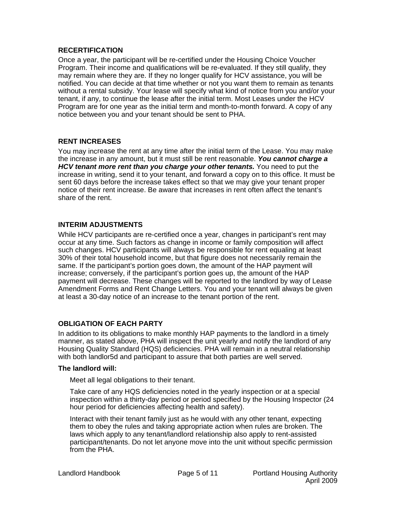#### **RECERTIFICATION**

Once a year, the participant will be re-certified under the Housing Choice Voucher Program. Their income and qualifications will be re-evaluated. If they still qualify, they may remain where they are. If they no longer qualify for HCV assistance, you will be notified. You can decide at that time whether or not you want them to remain as tenants without a rental subsidy. Your lease will specify what kind of notice from you and/or your tenant, if any, to continue the lease after the initial term. Most Leases under the HCV Program are for one year as the initial term and month-to-month forward. A copy of any notice between you and your tenant should be sent to PHA.

#### **RENT INCREASES**

You may increase the rent at any time after the initial term of the Lease. You may make the increase in any amount, but it must still be rent reasonable. *You cannot charge a HCV tenant more rent than you charge your other tenants.* You need to put the increase in writing, send it to your tenant, and forward a copy on to this office. It must be sent 60 days before the increase takes effect so that we may give your tenant proper notice of their rent increase. Be aware that increases in rent often affect the tenant's share of the rent.

#### **INTERIM ADJUSTMENTS**

While HCV participants are re-certified once a year, changes in participant's rent may occur at any time. Such factors as change in income or family composition will affect such changes. HCV participants will always be responsible for rent equaling at least 30% of their total household income, but that figure does not necessarily remain the same. If the participant's portion goes down, the amount of the HAP payment will increase; conversely, if the participant's portion goes up, the amount of the HAP payment will decrease. These changes will be reported to the landlord by way of Lease Amendment Forms and Rent Change Letters. You and your tenant will always be given at least a 30-day notice of an increase to the tenant portion of the rent.

#### **OBLIGATION OF EACH PARTY**

In addition to its obligations to make monthly HAP payments to the landlord in a timely manner, as stated above, PHA will inspect the unit yearly and notify the landlord of any Housing Quality Standard (HQS) deficiencies. PHA will remain in a neutral relationship with both landlor5d and participant to assure that both parties are well served.

#### **The landlord will:**

Meet all legal obligations to their tenant.

Take care of any HQS deficiencies noted in the yearly inspection or at a special inspection within a thirty-day period or period specified by the Housing Inspector (24 hour period for deficiencies affecting health and safety).

Interact with their tenant family just as he would with any other tenant, expecting them to obey the rules and taking appropriate action when rules are broken. The laws which apply to any tenant/landlord relationship also apply to rent-assisted participant/tenants. Do not let anyone move into the unit without specific permission from the PHA.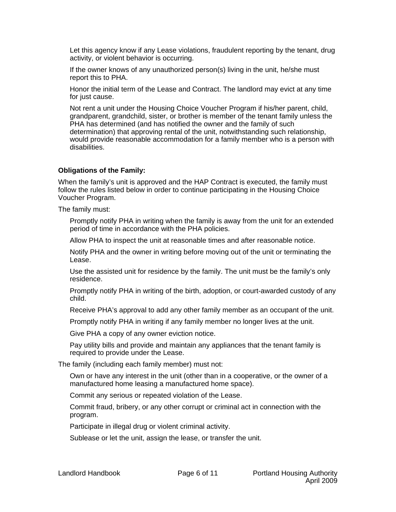Let this agency know if any Lease violations, fraudulent reporting by the tenant, drug activity, or violent behavior is occurring.

If the owner knows of any unauthorized person(s) living in the unit, he/she must report this to PHA.

Honor the initial term of the Lease and Contract. The landlord may evict at any time for just cause.

Not rent a unit under the Housing Choice Voucher Program if his/her parent, child, grandparent, grandchild, sister, or brother is member of the tenant family unless the PHA has determined (and has notified the owner and the family of such determination) that approving rental of the unit, notwithstanding such relationship, would provide reasonable accommodation for a family member who is a person with disabilities.

#### **Obligations of the Family:**

When the family's unit is approved and the HAP Contract is executed, the family must follow the rules listed below in order to continue participating in the Housing Choice Voucher Program.

The family must:

Promptly notify PHA in writing when the family is away from the unit for an extended period of time in accordance with the PHA policies.

Allow PHA to inspect the unit at reasonable times and after reasonable notice.

Notify PHA and the owner in writing before moving out of the unit or terminating the Lease.

Use the assisted unit for residence by the family. The unit must be the family's only residence.

Promptly notify PHA in writing of the birth, adoption, or court-awarded custody of any child.

Receive PHA's approval to add any other family member as an occupant of the unit.

Promptly notify PHA in writing if any family member no longer lives at the unit.

Give PHA a copy of any owner eviction notice.

Pay utility bills and provide and maintain any appliances that the tenant family is required to provide under the Lease.

The family (including each family member) must not:

Own or have any interest in the unit (other than in a cooperative, or the owner of a manufactured home leasing a manufactured home space).

Commit any serious or repeated violation of the Lease.

Commit fraud, bribery, or any other corrupt or criminal act in connection with the program.

Participate in illegal drug or violent criminal activity.

Sublease or let the unit, assign the lease, or transfer the unit.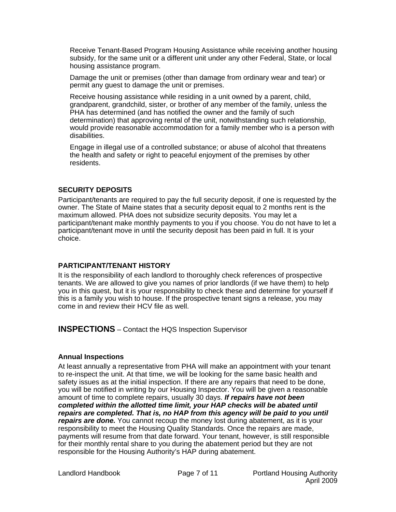Receive Tenant-Based Program Housing Assistance while receiving another housing subsidy, for the same unit or a different unit under any other Federal, State, or local housing assistance program.

Damage the unit or premises (other than damage from ordinary wear and tear) or permit any guest to damage the unit or premises.

Receive housing assistance while residing in a unit owned by a parent, child, grandparent, grandchild, sister, or brother of any member of the family, unless the PHA has determined (and has notified the owner and the family of such determination) that approving rental of the unit, notwithstanding such relationship, would provide reasonable accommodation for a family member who is a person with disabilities.

Engage in illegal use of a controlled substance; or abuse of alcohol that threatens the health and safety or right to peaceful enjoyment of the premises by other residents.

#### **SECURITY DEPOSITS**

Participant/tenants are required to pay the full security deposit, if one is requested by the owner. The State of Maine states that a security deposit equal to 2 months rent is the maximum allowed. PHA does not subsidize security deposits. You may let a participant/tenant make monthly payments to you if you choose. You do not have to let a participant/tenant move in until the security deposit has been paid in full. It is your choice.

#### **PARTICIPANT/TENANT HISTORY**

It is the responsibility of each landlord to thoroughly check references of prospective tenants. We are allowed to give you names of prior landlords (if we have them) to help you in this quest, but it is your responsibility to check these and determine for yourself if this is a family you wish to house. If the prospective tenant signs a release, you may come in and review their HCV file as well.

**INSPECTIONS** – Contact the HQS Inspection Supervisor

#### **Annual Inspections**

At least annually a representative from PHA will make an appointment with your tenant to re-inspect the unit. At that time, we will be looking for the same basic health and safety issues as at the initial inspection. If there are any repairs that need to be done, you will be notified in writing by our Housing Inspector. You will be given a reasonable amount of time to complete repairs, usually 30 days. *If repairs have not been completed within the allotted time limit, your HAP checks will be abated until repairs are completed. That is, no HAP from this agency will be paid to you until repairs are done.* You cannot recoup the money lost during abatement, as it is your responsibility to meet the Housing Quality Standards. Once the repairs are made, payments will resume from that date forward. Your tenant, however, is still responsible for their monthly rental share to you during the abatement period but they are not responsible for the Housing Authority's HAP during abatement.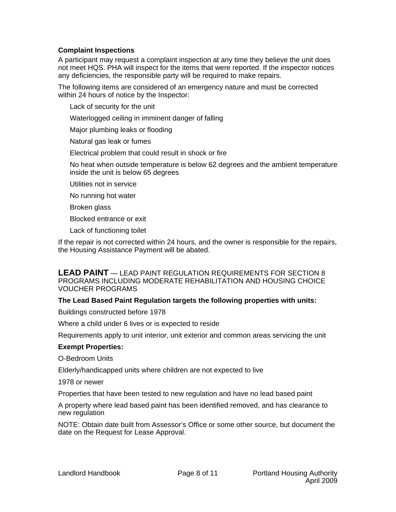#### **Complaint Inspections**

A participant may request a complaint inspection at any time they believe the unit does not meet HQS. PHA will inspect for the items that were reported. If the inspector notices any deficiencies, the responsible party will be required to make repairs.

The following items are considered of an emergency nature and must be corrected within 24 hours of notice by the Inspector:

Lack of security for the unit

Waterlogged ceiling in imminent danger of falling

Major plumbing leaks or flooding

Natural gas leak or fumes

Electrical problem that could result in shock or fire

No heat when outside temperature is below 62 degrees and the ambient temperature inside the unit is below 65 degrees

Utilities not in service

No running hot water

Broken glass

Blocked entrance or exit

Lack of functioning toilet

If the repair is not corrected within 24 hours, and the owner is responsible for the repairs, the Housing Assistance Payment will be abated.

#### **LEAD PAINT** — LEAD PAINT REGULATION REQUIREMENTS FOR SECTION 8 PROGRAMS INCLUDING MODERATE REHABILITATION AND HOUSING CHOICE VOUCHER PROGRAMS

#### **The Lead Based Paint Regulation targets the following properties with units:**

Buildings constructed before 1978

Where a child under 6 lives or is expected to reside

Requirements apply to unit interior, unit exterior and common areas servicing the unit

#### **Exempt Properties:**

O-Bedroom Units

Elderly/handicapped units where children are not expected to live

1978 or newer

Properties that have been tested to new regulation and have no lead based paint

A property where lead based paint has been identified removed, and has clearance to new regulation

NOTE: Obtain date built from Assessor's Office or some other source, but document the date on the Request for Lease Approval.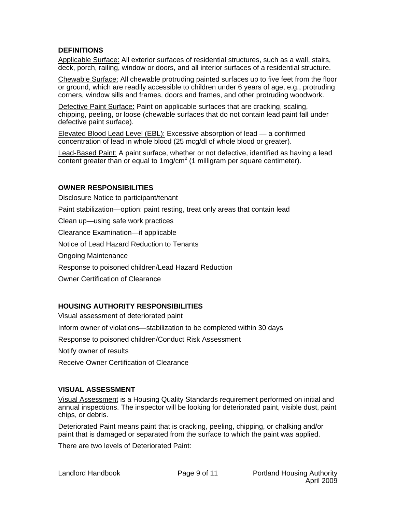#### **DEFINITIONS**

Applicable Surface: All exterior surfaces of residential structures, such as a wall, stairs, deck, porch, railing, window or doors, and all interior surfaces of a residential structure.

Chewable Surface: All chewable protruding painted surfaces up to five feet from the floor or ground, which are readily accessible to children under 6 years of age, e.g., protruding corners, window sills and frames, doors and frames, and other protruding woodwork.

Defective Paint Surface: Paint on applicable surfaces that are cracking, scaling, chipping, peeling, or loose (chewable surfaces that do not contain lead paint fall under defective paint surface).

Elevated Blood Lead Level (EBL): Excessive absorption of lead — a confirmed concentration of lead in whole blood (25 mcg/dl of whole blood or greater).

Lead-Based Paint: A paint surface, whether or not defective, identified as having a lead  $\overline{\text{content}}$  greater than or equal to 1mg/cm<sup>2</sup> (1 milligram per square centimeter).

#### **OWNER RESPONSIBILITIES**

Disclosure Notice to participant/tenant Paint stabilization—option: paint resting, treat only areas that contain lead Clean up—using safe work practices Clearance Examination—if applicable Notice of Lead Hazard Reduction to Tenants Ongoing Maintenance Response to poisoned children/Lead Hazard Reduction Owner Certification of Clearance

#### **HOUSING AUTHORITY RESPONSIBILITIES**

Visual assessment of deteriorated paint Inform owner of violations—stabilization to be completed within 30 days Response to poisoned children/Conduct Risk Assessment Notify owner of results Receive Owner Certification of Clearance

#### **VISUAL ASSESSMENT**

Visual Assessment is a Housing Quality Standards requirement performed on initial and annual inspections. The inspector will be looking for deteriorated paint, visible dust, paint chips, or debris.

Deteriorated Paint means paint that is cracking, peeling, chipping, or chalking and/or paint that is damaged or separated from the surface to which the paint was applied.

There are two levels of Deteriorated Paint: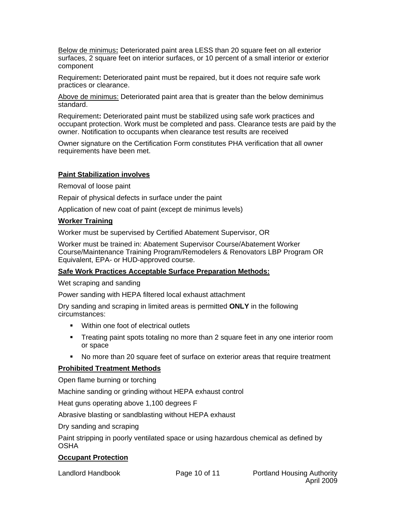Below de minimus**:** Deteriorated paint area LESS than 20 square feet on all exterior surfaces, 2 square feet on interior surfaces, or 10 percent of a small interior or exterior component

Requirement**:** Deteriorated paint must be repaired, but it does not require safe work practices or clearance.

Above de minimus: Deteriorated paint area that is greater than the below deminimus standard.

Requirement**:** Deteriorated paint must be stabilized using safe work practices and occupant protection. Work must be completed and pass. Clearance tests are paid by the owner. Notification to occupants when clearance test results are received

Owner signature on the Certification Form constitutes PHA verification that all owner requirements have been met.

#### **Paint Stabilization involves**

Removal of loose paint

Repair of physical defects in surface under the paint

Application of new coat of paint (except de minimus levels)

#### **Worker Training**

Worker must be supervised by Certified Abatement Supervisor, OR

Worker must be trained in: Abatement Supervisor Course/Abatement Worker Course/Maintenance Training Program/Remodelers & Renovators LBP Program OR Equivalent, EPA- or HUD-approved course.

#### **Safe Work Practices Acceptable Surface Preparation Methods:**

Wet scraping and sanding

Power sanding with HEPA filtered local exhaust attachment

Dry sanding and scraping in limited areas is permitted **ONLY** in the following circumstances:

- **Within one foot of electrical outlets**
- **Treating paint spots totaling no more than 2 square feet in any one interior room** or space
- No more than 20 square feet of surface on exterior areas that require treatment

#### **Prohibited Treatment Methods**

Open flame burning or torching

Machine sanding or grinding without HEPA exhaust control

Heat guns operating above 1,100 degrees F

Abrasive blasting or sandblasting without HEPA exhaust

Dry sanding and scraping

Paint stripping in poorly ventilated space or using hazardous chemical as defined by **OSHA** 

#### **Occupant Protection**